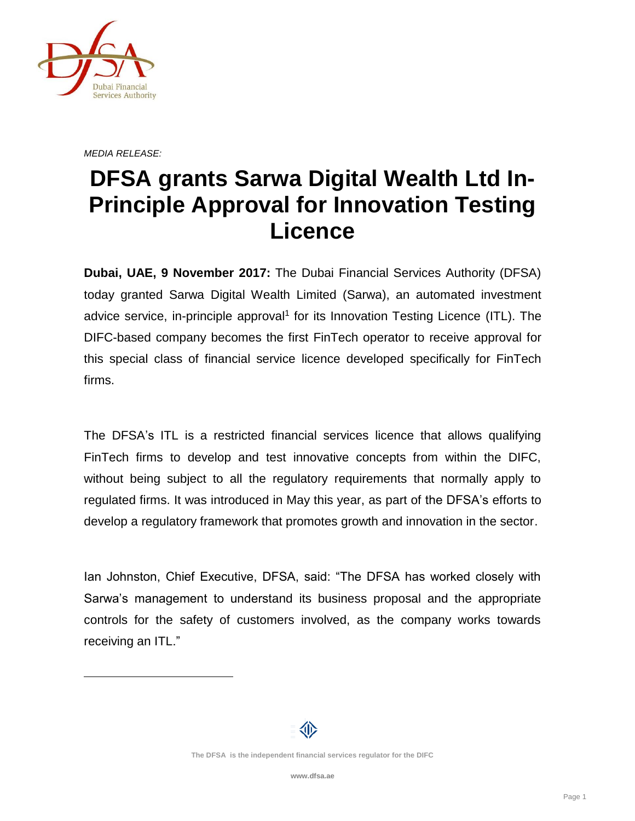

 $\overline{a}$ 

*MEDIA RELEASE:*

## **DFSA grants Sarwa Digital Wealth Ltd In-Principle Approval for Innovation Testing Licence**

**Dubai, UAE, 9 November 2017:** The Dubai Financial Services Authority (DFSA) today granted Sarwa Digital Wealth Limited (Sarwa), an automated investment advice service, in-principle approval<sup>1</sup> for its Innovation Testing Licence (ITL). The DIFC-based company becomes the first FinTech operator to receive approval for this special class of financial service licence developed specifically for FinTech firms.

The DFSA's ITL is a restricted financial services licence that allows qualifying FinTech firms to develop and test innovative concepts from within the DIFC, without being subject to all the regulatory requirements that normally apply to regulated firms. It was introduced in May this year, as part of the DFSA's efforts to develop a regulatory framework that promotes growth and innovation in the sector.

Ian Johnston, Chief Executive, DFSA, said: "The DFSA has worked closely with Sarwa's management to understand its business proposal and the appropriate controls for the safety of customers involved, as the company works towards receiving an ITL."

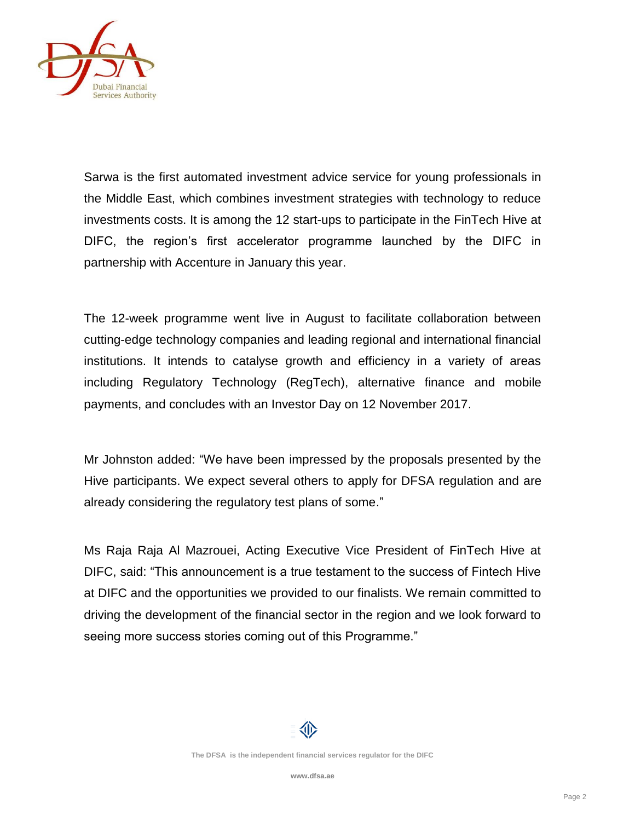

Sarwa is the first automated investment advice service for young professionals in the Middle East, which combines investment strategies with technology to reduce investments costs. It is among the 12 start-ups to participate in the FinTech Hive at DIFC, the region's first accelerator programme launched by the DIFC in partnership with Accenture in January this year.

The 12-week programme went live in August to facilitate collaboration between cutting-edge technology companies and leading regional and international financial institutions. It intends to catalyse growth and efficiency in a variety of areas including Regulatory Technology (RegTech), alternative finance and mobile payments, and concludes with an Investor Day on 12 November 2017.

Mr Johnston added: "We have been impressed by the proposals presented by the Hive participants. We expect several others to apply for DFSA regulation and are already considering the regulatory test plans of some."

Ms Raja Raja Al Mazrouei, Acting Executive Vice President of FinTech Hive at DIFC, said: "This announcement is a true testament to the success of Fintech Hive at DIFC and the opportunities we provided to our finalists. We remain committed to driving the development of the financial sector in the region and we look forward to seeing more success stories coming out of this Programme."

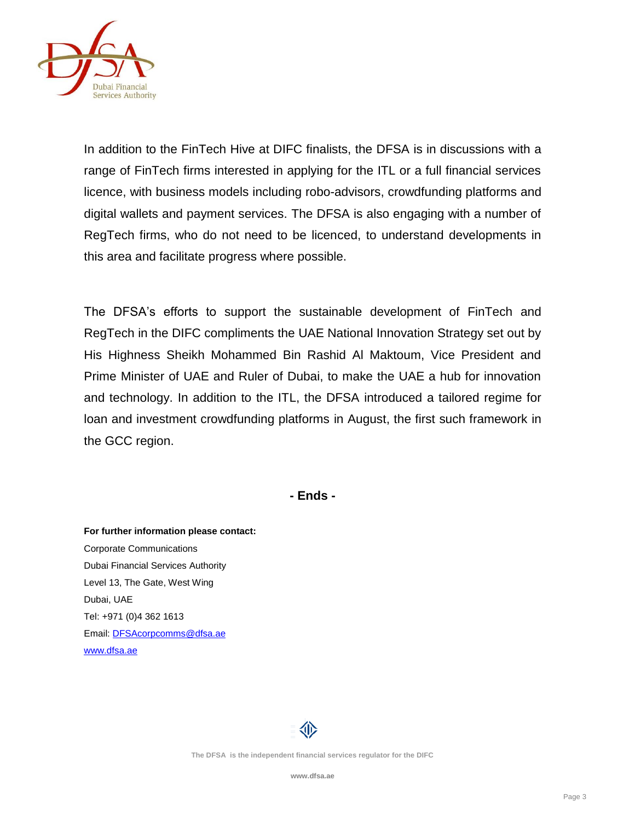

In addition to the FinTech Hive at DIFC finalists, the DFSA is in discussions with a range of FinTech firms interested in applying for the ITL or a full financial services licence, with business models including robo-advisors, crowdfunding platforms and digital wallets and payment services. The DFSA is also engaging with a number of RegTech firms, who do not need to be licenced, to understand developments in this area and facilitate progress where possible.

The DFSA's efforts to support the sustainable development of FinTech and RegTech in the DIFC compliments the UAE National Innovation Strategy set out by His Highness Sheikh Mohammed Bin Rashid Al Maktoum, Vice President and Prime Minister of UAE and Ruler of Dubai, to make the UAE a hub for innovation and technology. In addition to the ITL, the DFSA introduced a tailored regime for loan and investment crowdfunding platforms in August, the first such framework in the GCC region.

**- Ends -**

**For further information please contact:** Corporate Communications Dubai Financial Services Authority Level 13, The Gate, West Wing Dubai, UAE Tel: +971 (0)4 362 1613 Email[: DFSAcorpcomms@dfsa.ae](mailto:DFSAcorpcomms@dfsa.ae) [www.dfsa.ae](http://www.dfsa.ae/)